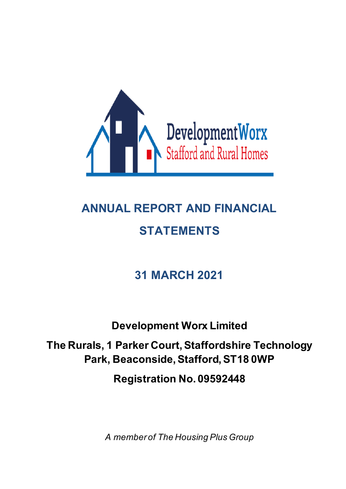

# **ANNUAL REPORT AND FINANCIAL STATEMENTS**

## **31 MARCH 2021**

**Development Worx Limited**

**The Rurals, 1 Parker Court, Staffordshire Technology Park, Beaconside, Stafford, ST18 0WP**

**Registration No. 09592448**

*A member of The Housing Plus Group*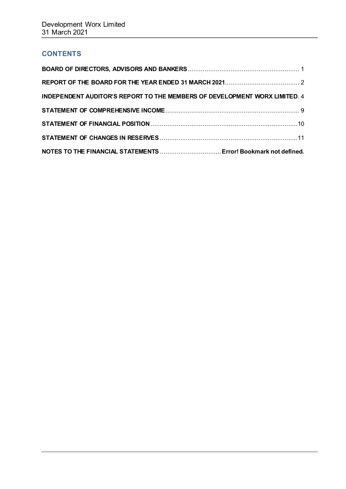## **CONTENTS**

| INDEPENDENT AUDITOR'S REPORT TO THE MEMBERS OF DEVELOPMENT WORX LIMITED. 4 |  |
|----------------------------------------------------------------------------|--|
|                                                                            |  |
|                                                                            |  |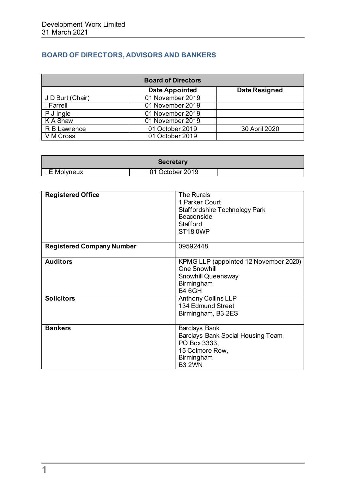## <span id="page-2-0"></span>**BOARD OF DIRECTORS, ADVISORS AND BANKERS**

| <b>Board of Directors</b> |                       |                      |  |
|---------------------------|-----------------------|----------------------|--|
|                           | <b>Date Appointed</b> | <b>Date Resigned</b> |  |
| J D Burt (Chair)          | 01 November 2019      |                      |  |
| I Farrell                 | 01 November 2019      |                      |  |
| P J Ingle                 | 01 November 2019      |                      |  |
| K A Shaw                  | 01 November 2019      |                      |  |
| R B Lawrence              | 01 October 2019       | 30 April 2020        |  |
| V M Cross                 | 01 October 2019       |                      |  |

| Secretary      |                 |  |
|----------------|-----------------|--|
| I I E Molyneux | 01 October 2019 |  |

| <b>Registered Office</b>         | <b>The Rurals</b><br>1 Parker Court<br>Staffordshire Technology Park<br>Beaconside<br>Stafford<br>ST <sub>18</sub> 0WP       |
|----------------------------------|------------------------------------------------------------------------------------------------------------------------------|
| <b>Registered Company Number</b> | 09592448                                                                                                                     |
| <b>Auditors</b>                  | KPMG LLP (appointed 12 November 2020)<br><b>One Snowhill</b><br>Snowhill Queensway<br>Birmingham<br><b>B4 6GH</b>            |
| <b>Solicitors</b>                | <b>Anthony Collins LLP</b><br>134 Edmund Street<br>Birmingham, B3 2ES                                                        |
| <b>Bankers</b>                   | <b>Barclays Bank</b><br>Barclays Bank Social Housing Team,<br>PO Box 3333,<br>15 Colmore Row,<br>Birmingham<br><b>B3 2WN</b> |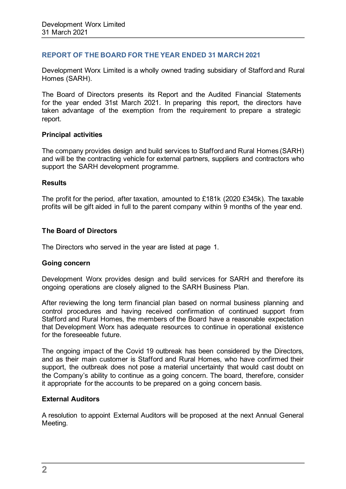#### <span id="page-3-0"></span>**REPORT OF THE BOARD FOR THE YEAR ENDED 31 MARCH 2021**

Development Worx Limited is a wholly owned trading subsidiary of Stafford and Rural Homes (SARH).

The Board of Directors presents its Report and the Audited Financial Statements for the year ended 31st March 2021. In preparing this report, the directors have taken advantage of the exemption from the requirement to prepare a strategic report.

#### **Principal activities**

The company provides design and build services to Stafford and Rural Homes (SARH) and will be the contracting vehicle for external partners, suppliers and contractors who support the SARH development programme.

#### **Results**

The profit for the period, after taxation, amounted to £181k (2020 £345k). The taxable profits will be gift aided in full to the parent company within 9 months of the year end.

#### **The Board of Directors**

The Directors who served in the year are listed at page 1.

#### **Going concern**

Development Worx provides design and build services for SARH and therefore its ongoing operations are closely aligned to the SARH Business Plan.

After reviewing the long term financial plan based on normal business planning and control procedures and having received confirmation of continued support from Stafford and Rural Homes, the members of the Board have a reasonable expectation that Development Worx has adequate resources to continue in operational existence for the foreseeable future.

The ongoing impact of the Covid 19 outbreak has been considered by the Directors, and as their main customer is Stafford and Rural Homes, who have confirmed their support, the outbreak does not pose a material uncertainty that would cast doubt on the Company's ability to continue as a going concern. The board, therefore, consider it appropriate for the accounts to be prepared on a going concern basis.

#### **External Auditors**

A resolution to appoint External Auditors will be proposed at the next Annual General Meeting.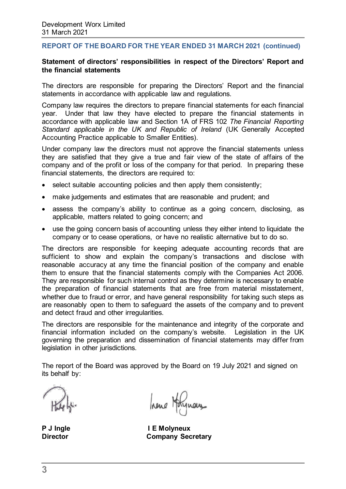#### **REPORT OF THE BOARD FOR THE YEAR ENDED 31 MARCH 2021 (continued)**

#### **Statement of directors' responsibilities in respect of the Directors' Report and the financial statements**

The directors are responsible for preparing the Directors' Report and the financial statements in accordance with applicable law and regulations.

Company law requires the directors to prepare financial statements for each financial year. Under that law they have elected to prepare the financial statements in accordance with applicable law and Section 1A of FRS 102 *The Financial Reporting Standard applicable in the UK and Republic of Ireland* (UK Generally Accepted Accounting Practice applicable to Smaller Entities).

Under company law the directors must not approve the financial statements unless they are satisfied that they give a true and fair view of the state of affairs of the company and of the profit or loss of the company for that period. In preparing these financial statements, the directors are required to:

- select suitable accounting policies and then apply them consistently;
- make judgements and estimates that are reasonable and prudent; and
- assess the company's ability to continue as a going concern, disclosing, as applicable, matters related to going concern; and
- use the going concern basis of accounting unless they either intend to liquidate the company or to cease operations, or have no realistic alternative but to do so.

The directors are responsible for keeping adequate accounting records that are sufficient to show and explain the company's transactions and disclose with reasonable accuracy at any time the financial position of the company and enable them to ensure that the financial statements comply with the Companies Act 2006. They are responsible for such internal control as they determine is necessary to enable the preparation of financial statements that are free from material misstatement, whether due to fraud or error, and have general responsibility for taking such steps as are reasonably open to them to safeguard the assets of the company and to prevent and detect fraud and other irregularities.

The directors are responsible for the maintenance and integrity of the corporate and financial information included on the company's website. Legislation in the UK governing the preparation and dissemination of financial statements may differ from legislation in other jurisdictions.

The report of the Board was approved by the Board on 19 July 2021 and signed on its behalf by:

hene Holynous

P J Ingle **I E Molyneux**<br>Director **Company** Sec **Company Secretary**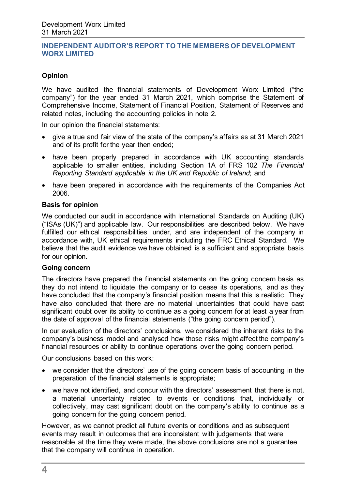## **Opinion**

We have audited the financial statements of Development Worx Limited ("the company") for the year ended 31 March 2021, which comprise the Statement of Comprehensive Income, Statement of Financial Position, Statement of Reserves and related notes, including the accounting policies in note 2.

In our opinion the financial statements:

- give a true and fair view of the state of the company's affairs as at 31 March 2021 and of its profit for the year then ended;
- have been properly prepared in accordance with UK accounting standards applicable to smaller entities, including Section 1A of FRS 102 *The Financial Reporting Standard applicable in the UK and Republic of Ireland*; and
- have been prepared in accordance with the requirements of the Companies Act 2006.

#### **Basis for opinion**

We conducted our audit in accordance with International Standards on Auditing (UK) ("ISAs (UK)") and applicable law. Our responsibilities are described below. We have fulfilled our ethical responsibilities under, and are independent of the company in accordance with, UK ethical requirements including the FRC Ethical Standard. We believe that the audit evidence we have obtained is a sufficient and appropriate basis for our opinion.

#### **Going concern**

The directors have prepared the financial statements on the going concern basis as they do not intend to liquidate the company or to cease its operations, and as they have concluded that the company's financial position means that this is realistic. They have also concluded that there are no material uncertainties that could have cast significant doubt over its ability to continue as a going concern for at least a year from the date of approval of the financial statements ("the going concern period").

In our evaluation of the directors' conclusions, we considered the inherent risks to the company's business model and analysed how those risks might affect the company's financial resources or ability to continue operations over the going concern period.

Our conclusions based on this work:

- we consider that the directors' use of the going concern basis of accounting in the preparation of the financial statements is appropriate;
- we have not identified, and concur with the directors' assessment that there is not, a material uncertainty related to events or conditions that, individually or collectively, may cast significant doubt on the company's ability to continue as a going concern for the going concern period.

However, as we cannot predict all future events or conditions and as subsequent events may result in outcomes that are inconsistent with judgements that were reasonable at the time they were made, the above conclusions are not a guarantee that the company will continue in operation.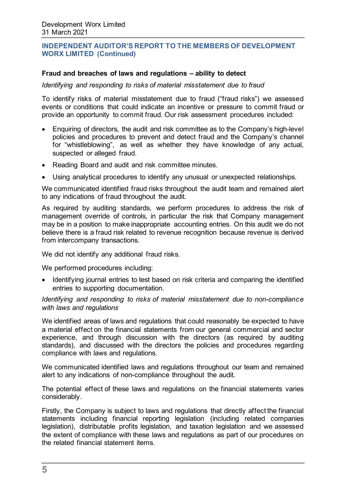#### **Fraud and breaches of laws and regulations – ability to detect**

*Identifying and responding to risks of material misstatement due to fraud*

To identify risks of material misstatement due to fraud ("fraud risks") we assessed events or conditions that could indicate an incentive or pressure to commit fraud or provide an opportunity to commit fraud. Our risk assessment procedures included:

- Enquiring of directors, the audit and risk committee as to the Company's high-level policies and procedures to prevent and detect fraud and the Company's channel for "whistleblowing", as well as whether they have knowledge of any actual, suspected or alleged fraud.
- Reading Board and audit and risk committee minutes.
- Using analytical procedures to identify any unusual or unexpected relationships.

We communicated identified fraud risks throughout the audit team and remained alert to any indications of fraud throughout the audit.

As required by auditing standards, we perform procedures to address the risk of management override of controls, in particular the risk that Company management may be in a position to make inappropriate accounting entries. On this audit we do not believe there is a fraud risk related to revenue recognition because revenue is derived from intercompany transactions.

We did not identify any additional fraud risks.

We performed procedures including:

• Identifying journal entries to test based on risk criteria and comparing the identified entries to supporting documentation.

*Identifying and responding to risks of material misstatement due to non-compliance with laws and regulations*

We identified areas of laws and regulations that could reasonably be expected to have a material effect on the financial statements from our general commercial and sector experience, and through discussion with the directors (as required by auditing standards), and discussed with the directors the policies and procedures regarding compliance with laws and regulations.

We communicated identified laws and regulations throughout our team and remained alert to any indications of non-compliance throughout the audit.

The potential effect of these laws and regulations on the financial statements varies considerably.

Firstly, the Company is subject to laws and regulations that directly affect the financial statements including financial reporting legislation (including related companies legislation), distributable profits legislation, and taxation legislation and we assessed the extent of compliance with these laws and regulations as part of our procedures on the related financial statement items.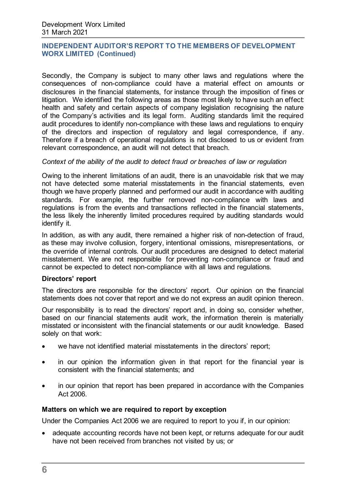Secondly, the Company is subject to many other laws and regulations where the consequences of non-compliance could have a material effect on amounts or disclosures in the financial statements, for instance through the imposition of fines or litigation. We identified the following areas as those most likely to have such an effect: health and safety and certain aspects of company legislation recognising the nature of the Company's activities and its legal form. Auditing standards limit the required audit procedures to identify non-compliance with these laws and regulations to enquiry of the directors and inspection of regulatory and legal correspondence, if any. Therefore if a breach of operational regulations is not disclosed to us or evident from relevant correspondence, an audit will not detect that breach.

#### *Context of the ability of the audit to detect fraud or breaches of law or regulation*

Owing to the inherent limitations of an audit, there is an unavoidable risk that we may not have detected some material misstatements in the financial statements, even though we have properly planned and performed our audit in accordance with auditing standards. For example, the further removed non-compliance with laws and regulations is from the events and transactions reflected in the financial statements, the less likely the inherently limited procedures required by auditing standards would identify it.

In addition, as with any audit, there remained a higher risk of non-detection of fraud, as these may involve collusion, forgery, intentional omissions, misrepresentations, or the override of internal controls. Our audit procedures are designed to detect material misstatement. We are not responsible for preventing non-compliance or fraud and cannot be expected to detect non-compliance with all laws and regulations.

#### **Directors' report**

The directors are responsible for the directors' report. Our opinion on the financial statements does not cover that report and we do not express an audit opinion thereon.

Our responsibility is to read the directors' report and, in doing so, consider whether, based on our financial statements audit work, the information therein is materially misstated or inconsistent with the financial statements or our audit knowledge. Based solely on that work:

- we have not identified material misstatements in the directors' report;
- in our opinion the information given in that report for the financial year is consistent with the financial statements; and
- in our opinion that report has been prepared in accordance with the Companies Act 2006.

#### **Matters on which we are required to report by exception**

Under the Companies Act 2006 we are required to report to you if, in our opinion:

• adequate accounting records have not been kept, or returns adequate for our audit have not been received from branches not visited by us; or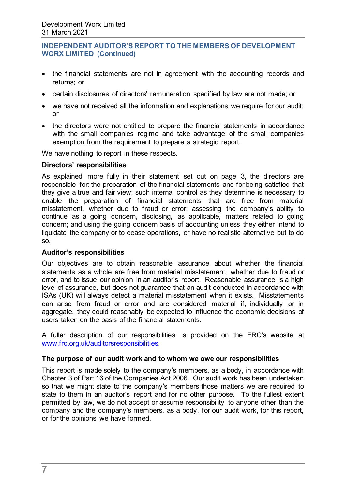- the financial statements are not in agreement with the accounting records and returns; or
- certain disclosures of directors' remuneration specified by law are not made; or
- we have not received all the information and explanations we require for our audit; or
- the directors were not entitled to prepare the financial statements in accordance with the small companies regime and take advantage of the small companies exemption from the requirement to prepare a strategic report.

We have nothing to report in these respects.

#### **Directors' responsibilities**

As explained more fully in their statement set out on page 3, the directors are responsible for: the preparation of the financial statements and for being satisfied that they give a true and fair view; such internal control as they determine is necessary to enable the preparation of financial statements that are free from material misstatement, whether due to fraud or error; assessing the company's ability to continue as a going concern, disclosing, as applicable, matters related to going concern; and using the going concern basis of accounting unless they either intend to liquidate the company or to cease operations, or have no realistic alternative but to do so.

#### **Auditor's responsibilities**

Our objectives are to obtain reasonable assurance about whether the financial statements as a whole are free from material misstatement, whether due to fraud or error, and to issue our opinion in an auditor's report. Reasonable assurance is a high level of assurance, but does not guarantee that an audit conducted in accordance with ISAs (UK) will always detect a material misstatement when it exists. Misstatements can arise from fraud or error and are considered material if, individually or in aggregate, they could reasonably be expected to influence the economic decisions of users taken on the basis of the financial statements.

A fuller description of our responsibilities is provided on the FRC's website at [www.frc.org.uk/auditorsresponsibilities.](http://www.frc.org.uk/auditorsresponsibilities) 

#### **The purpose of our audit work and to whom we owe our responsibilities**

This report is made solely to the company's members, as a body, in accordance with Chapter 3 of Part 16 of the Companies Act 2006. Our audit work has been undertaken so that we might state to the company's members those matters we are required to state to them in an auditor's report and for no other purpose. To the fullest extent permitted by law, we do not accept or assume responsibility to anyone other than the company and the company's members, as a body, for our audit work, for this report, or for the opinions we have formed.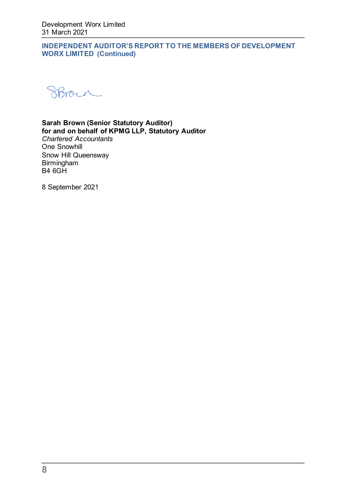SBroyn

## **Sarah Brown (Senior Statutory Auditor) for and on behalf of KPMG LLP, Statutory Auditor**

*Chartered Accountants*  One Snowhill Snow Hill Queensway Birmingham B4 6GH

8 September 2021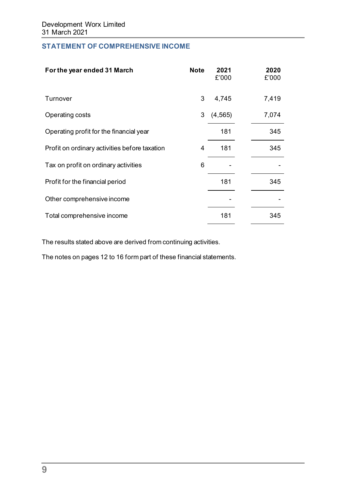## **STATEMENT OF COMPREHENSIVE INCOME**

| For the year ended 31 March                   | <b>Note</b> | 2021<br>£'000 | 2020<br>£'000 |
|-----------------------------------------------|-------------|---------------|---------------|
| Turnover                                      | 3           | 4,745         | 7,419         |
| Operating costs                               | 3           | (4, 565)      | 7,074         |
| Operating profit for the financial year       |             | 181           | 345           |
| Profit on ordinary activities before taxation | 4           | 181           | 345           |
| Tax on profit on ordinary activities          | 6           |               |               |
| Profit for the financial period               |             | 181           | 345           |
| Other comprehensive income                    |             |               |               |
| Total comprehensive income                    |             | 181           | 345           |

The results stated above are derived from continuing activities.

The notes on pages 12 to 16 form part of these financial statements.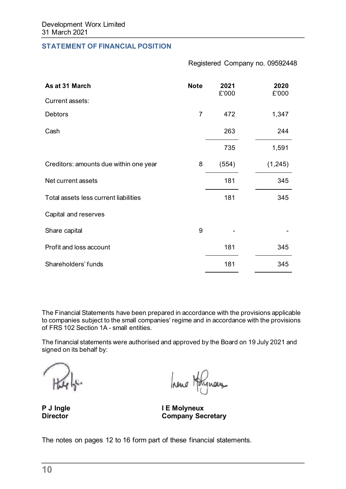#### **STATEMENT OF FINANCIAL POSITION**

Registered Company no. 09592448

| As at 31 March                         | <b>Note</b> | 2021<br>£'000 | 2020<br>£'000 |
|----------------------------------------|-------------|---------------|---------------|
| Current assets:                        |             |               |               |
| <b>Debtors</b>                         | 7           | 472           | 1,347         |
| Cash                                   |             | 263           | 244           |
|                                        |             | 735           | 1,591         |
| Creditors: amounts due within one year | 8           | (554)         | (1, 245)      |
| Net current assets                     |             | 181           | 345           |
| Total assets less current liabilities  |             | 181           | 345           |
| Capital and reserves                   |             |               |               |
| Share capital                          | 9           |               |               |
| Profit and loss account                |             | 181           | 345           |
| Shareholders' funds                    |             | 181           | 345           |

The Financial Statements have been prepared in accordance with the provisions applicable to companies subject to the small companies' regime and in accordance with the provisions of FRS 102 Section 1A - small entities.

The financial statements were authorised and approved by the Board on 19 July 2021 and signed on its behalf by:

hene Holynous

**P J Ingle I E Molyneux Company Secretary** 

The notes on pages 12 to 16 form part of these financial statements.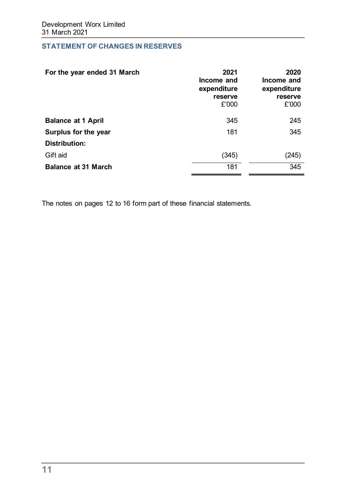## **STATEMENT OF CHANGES IN RESERVES**

| For the year ended 31 March | 2021<br>Income and<br>expenditure<br>reserve<br>£'000 | 2020<br>Income and<br>expenditure<br>reserve<br>£'000 |
|-----------------------------|-------------------------------------------------------|-------------------------------------------------------|
| <b>Balance at 1 April</b>   | 345                                                   | 245                                                   |
| Surplus for the year        | 181                                                   | 345                                                   |
| Distribution:               |                                                       |                                                       |
| Gift aid                    | (345)                                                 | (245)                                                 |
| <b>Balance at 31 March</b>  | 181                                                   | 345                                                   |

The notes on pages 12 to 16 form part of these financial statements.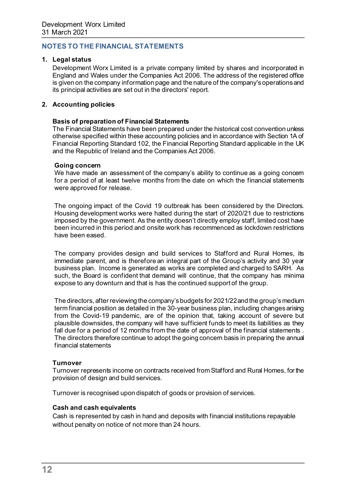## **NOTES TO THE FINANCIAL STATEMENTS**

#### **1. Legal status**

Development Worx Limited is a private company limited by shares and incorporated in England and Wales under the Companies Act 2006. The address of the registered office is given on the company information page and the nature of the company's operations and its principal activities are set out in the directors' report.

#### **2. Accounting policies**

#### **Basis of preparation of Financial Statements**

The Financial Statements have been prepared under the historical cost convention unless otherwise specified within these accounting policies and in accordance with Section 1A of Financial Reporting Standard 102, the Financial Reporting Standard applicable in the UK and the Republic of Ireland and the Companies Act 2006.

#### **Going concern**

We have made an assessment of the company's ability to continue as a going concern for a period of at least twelve months from the date on which the financial statements were approved for release.

The ongoing impact of the Covid 19 outbreak has been considered by the Directors. Housing development works were halted during the start of 2020/21 due to restrictions imposed by the government. As the entity doesn't directly employ staff, limited cost have been incurred in this period and onsite work has recommenced as lockdown restrictions have been eased.

The company provides design and build services to Stafford and Rural Homes, its immediate parent, and is therefore an integral part of the Group's activity and 30 year business plan. Income is generated as works are completed and charged to SARH. As such, the Board is confident that demand will continue, that the company has minima expose to any downturn and that is has the continued support of the group.

The directors, after reviewing the company's budgets for 2021/22 and the group's medium term financial position as detailed in the 30-year business plan, including changes arising from the Covid-19 pandemic, are of the opinion that, taking account of severe but plausible downsides, the company will have sufficient funds to meet its liabilities as they fall due for a period of 12 months from the date of approval of the financial statements . The directors therefore continue to adopt the going concern basis in preparing the annual financial statements

#### **Turnover**

Turnover represents income on contracts received from Stafford and Rural Homes, for the provision of design and build services.

Turnover is recognised upon dispatch of goods or provision of services.

#### **Cash and cash equivalents**

Cash is represented by cash in hand and deposits with financial institutions repayable without penalty on notice of not more than 24 hours.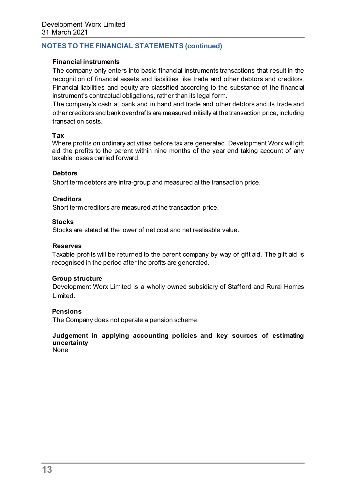#### **Financial instruments**

The company only enters into basic financial instruments transactions that result in the recognition of financial assets and liabilities like trade and other debtors and creditors. Financial liabilities and equity are classified according to the substance of the financial instrument's contractual obligations, rather than its legal form.

The company's cash at bank and in hand and trade and other debtors and its trade and other creditors and bank overdrafts are measured initially at the transaction price, including transaction costs.

#### **Tax**

Where profits on ordinary activities before tax are generated, Development Worx will gift aid the profits to the parent within nine months of the year end taking account of any taxable losses carried forward.

#### **Debtors**

Short term debtors are intra-group and measured at the transaction price.

#### **Creditors**

Short term creditors are measured at the transaction price.

#### **Stocks**

Stocks are stated at the lower of net cost and net realisable value.

#### **Reserves**

Taxable profits will be returned to the parent company by way of gift aid. The gift aid is recognised in the period after the profits are generated.

#### **Group structure**

Development Worx Limited is a wholly owned subsidiary of Stafford and Rural Homes Limited.

#### **Pensions**

The Company does not operate a pension scheme.

## **Judgement in applying accounting policies and key sources of estimating uncertainty**

None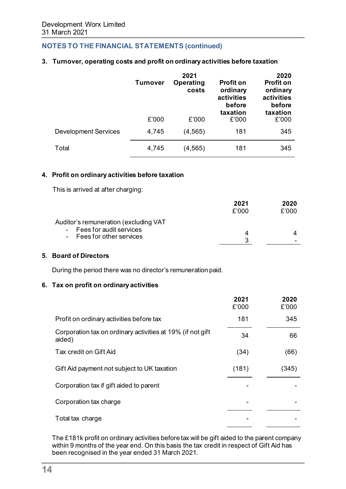#### **3. Turnover, operating costs and profit on ordinary activities before taxation**

|                             | <b>Turnover</b> | 2021<br>Operating<br>costs | <b>Profit on</b><br>ordinary<br>activities<br>before<br>taxation | 2020<br><b>Profit on</b><br>ordinary<br>activities<br>before<br>taxation |
|-----------------------------|-----------------|----------------------------|------------------------------------------------------------------|--------------------------------------------------------------------------|
|                             | £'000           | £'000                      | £'000                                                            | £'000                                                                    |
| <b>Development Services</b> | 4,745           | (4, 565)                   | 181                                                              | 345                                                                      |
| Total                       | 4,745           | (4, 565)                   | 181                                                              | 345                                                                      |

#### **4. Profit on ordinary activities before taxation**

This is arrived at after charging:

|                                                        | 2021  | 2020  |
|--------------------------------------------------------|-------|-------|
|                                                        | f'000 | £'000 |
| Auditor's remuneration (excluding VAT                  |       |       |
| - Fees for audit services<br>- Fees for other services |       | Δ.    |
|                                                        | ີ     |       |

#### **5. Board of Directors**

During the period there was no director's remuneration paid.

#### **6. Tax on profit on ordinary activities**

|                                                                      | 2021<br>£'000 | 2020<br>£'000 |
|----------------------------------------------------------------------|---------------|---------------|
| Profit on ordinary activities before tax                             | 181           | 345           |
| Corporation tax on ordinary activities at 19% (if not gift<br>aided) | 34            | 66            |
| Tax credit on Gift Aid                                               | (34)          | (66)          |
| Gift Aid payment not subject to UK taxation                          | (181)         | (345)         |
| Corporation tax if gift aided to parent                              |               |               |
| Corporation tax charge                                               |               |               |
| Total tax charge                                                     |               |               |

The £181k profit on ordinary activities before tax will be gift aided to the parent company within 9 months of the year end. On this basis the tax credit in respect of Gift Aid has been recognised in the year ended 31 March 2021.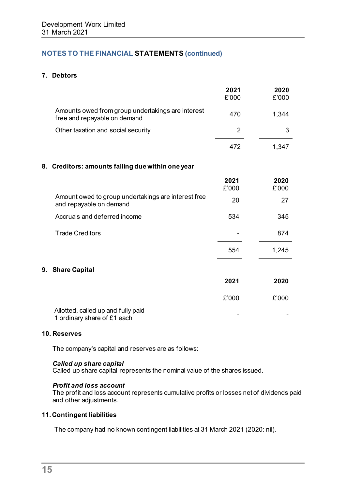## **7. Debtors**

|                                                                                   | 2021<br>£'000 | 2020<br>£'000 |
|-----------------------------------------------------------------------------------|---------------|---------------|
| Amounts owed from group undertakings are interest<br>free and repayable on demand | 470           | 1,344         |
| Other taxation and social security                                                | 2             | 3             |
|                                                                                   | 472           | 1,347         |
| 8. Creditors: amounts falling due within one year                                 |               |               |
|                                                                                   | 2021<br>£'000 | 2020<br>£'000 |
| Amount owed to group undertakings are interest free<br>and repayable on demand    | 20            | 27            |
| Accruals and deferred income                                                      | 534           | 345           |
| <b>Trade Creditors</b>                                                            |               | 874           |
|                                                                                   | 554           | 1,245         |
| 9.<br><b>Share Capital</b>                                                        |               |               |
|                                                                                   | 2021          | 2020          |
|                                                                                   | £'000         | £'000         |
| Allotted, called up and fully paid<br>1 ordinary share of £1 each                 |               |               |

#### **10. Reserves**

The company's capital and reserves are as follows:

#### *Called up share capital*

Called up share capital represents the nominal value of the shares issued.

#### *Profit and loss account*

The profit and loss account represents cumulative profits or losses net of dividends paid and other adjustments.

#### **11. Contingent liabilities**

The company had no known contingent liabilities at 31 March 2021 (2020: nil).